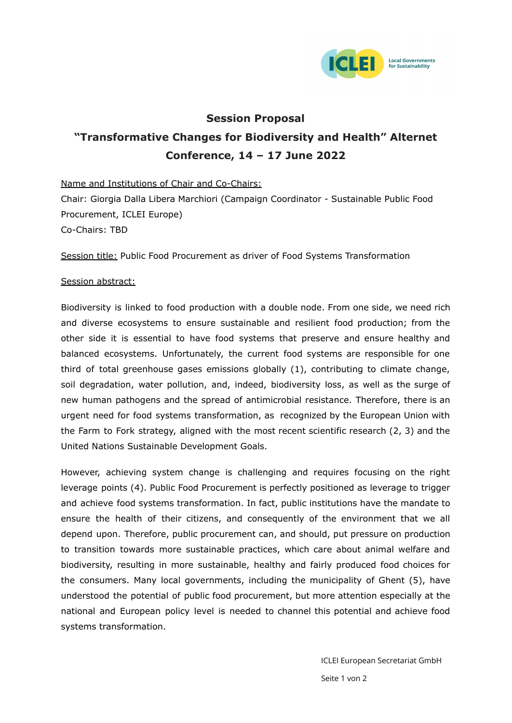

## **Session Proposal**

# **"Transformative Changes for Biodiversity and Health" Alternet Conference, 14 – 17 June 2022**

Name and Institutions of Chair and Co-Chairs: Chair: Giorgia Dalla Libera Marchiori (Campaign Coordinator - Sustainable Public Food Procurement, ICLEI Europe) Co-Chairs: TBD

Session title: Public Food Procurement as driver of Food Systems Transformation

### Session abstract:

Biodiversity is linked to food production with a double node. From one side, we need rich and diverse ecosystems to ensure sustainable and resilient food production; from the other side it is essential to have food systems that preserve and ensure healthy and balanced ecosystems. Unfortunately, the current food systems are responsible for one third of total greenhouse gases emissions globally (1), contributing to climate change, soil degradation, water pollution, and, indeed, biodiversity loss, as well as the surge of new human pathogens and the spread of antimicrobial resistance. Therefore, there is an urgent need for food systems transformation, as recognized by the European Union with the Farm to Fork strategy, aligned with the most recent scientific research (2, 3) and the United Nations Sustainable Development Goals.

However, achieving system change is challenging and requires focusing on the right leverage points (4). Public Food Procurement is perfectly positioned as leverage to trigger and achieve food systems transformation. In fact, public institutions have the mandate to ensure the health of their citizens, and consequently of the environment that we all depend upon. Therefore, public procurement can, and should, put pressure on production to transition towards more sustainable practices, which care about animal welfare and biodiversity, resulting in more sustainable, healthy and fairly produced food choices for the consumers. Many local governments, including the municipality of Ghent (5), have understood the potential of public food procurement, but more attention especially at the national and European policy level is needed to channel this potential and achieve food systems transformation.